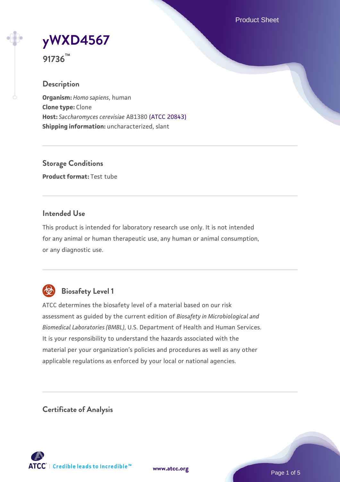Product Sheet



**91736™**

## **Description**

**Organism:** *Homo sapiens*, human **Clone type:** Clone **Host:** *Saccharomyces cerevisiae* AB1380 [\(ATCC 20843\)](https://www.atcc.org/products/20843) **Shipping information:** uncharacterized, slant

**Storage Conditions Product format:** Test tube

## **Intended Use**

This product is intended for laboratory research use only. It is not intended for any animal or human therapeutic use, any human or animal consumption, or any diagnostic use.



## **Biosafety Level 1**

ATCC determines the biosafety level of a material based on our risk assessment as guided by the current edition of *Biosafety in Microbiological and Biomedical Laboratories (BMBL)*, U.S. Department of Health and Human Services. It is your responsibility to understand the hazards associated with the material per your organization's policies and procedures as well as any other applicable regulations as enforced by your local or national agencies.

**Certificate of Analysis**

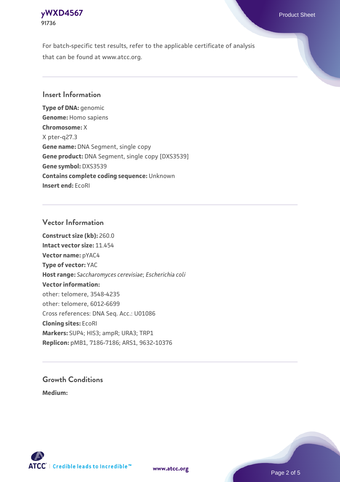## **[yWXD4567](https://www.atcc.org/products/91736)** Product Sheet **91736**

For batch-specific test results, refer to the applicable certificate of analysis that can be found at www.atcc.org.

## **Insert Information**

**Type of DNA:** genomic **Genome:** Homo sapiens **Chromosome:** X X pter-q27.3 **Gene name:** DNA Segment, single copy **Gene product:** DNA Segment, single copy [DXS3539] **Gene symbol:** DXS3539 **Contains complete coding sequence:** Unknown **Insert end:** EcoRI

## **Vector Information**

**Construct size (kb):** 260.0 **Intact vector size:** 11.454 **Vector name:** pYAC4 **Type of vector:** YAC **Host range:** *Saccharomyces cerevisiae*; *Escherichia coli* **Vector information:** other: telomere, 3548-4235 other: telomere, 6012-6699 Cross references: DNA Seq. Acc.: U01086 **Cloning sites:** EcoRI **Markers:** SUP4; HIS3; ampR; URA3; TRP1 **Replicon:** pMB1, 7186-7186; ARS1, 9632-10376

# **Growth Conditions**

**Medium:** 



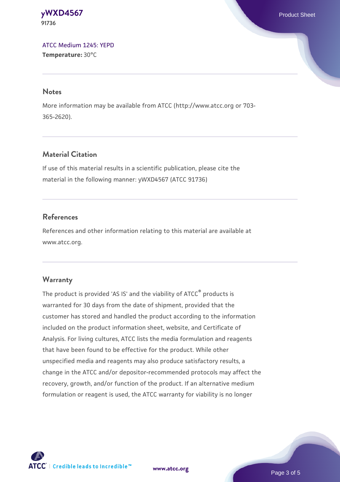#### **[yWXD4567](https://www.atcc.org/products/91736)** Product Sheet **91736**

[ATCC Medium 1245: YEPD](https://www.atcc.org/-/media/product-assets/documents/microbial-media-formulations/1/2/4/5/atcc-medium-1245.pdf?rev=705ca55d1b6f490a808a965d5c072196) **Temperature:** 30°C

#### **Notes**

More information may be available from ATCC (http://www.atcc.org or 703- 365-2620).

## **Material Citation**

If use of this material results in a scientific publication, please cite the material in the following manner: yWXD4567 (ATCC 91736)

## **References**

References and other information relating to this material are available at www.atcc.org.

## **Warranty**

The product is provided 'AS IS' and the viability of ATCC® products is warranted for 30 days from the date of shipment, provided that the customer has stored and handled the product according to the information included on the product information sheet, website, and Certificate of Analysis. For living cultures, ATCC lists the media formulation and reagents that have been found to be effective for the product. While other unspecified media and reagents may also produce satisfactory results, a change in the ATCC and/or depositor-recommended protocols may affect the recovery, growth, and/or function of the product. If an alternative medium formulation or reagent is used, the ATCC warranty for viability is no longer



**[www.atcc.org](http://www.atcc.org)**

Page 3 of 5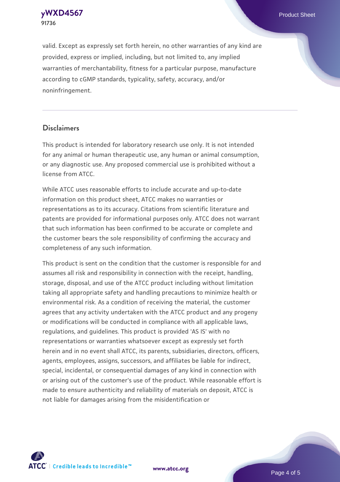**91736**

valid. Except as expressly set forth herein, no other warranties of any kind are provided, express or implied, including, but not limited to, any implied warranties of merchantability, fitness for a particular purpose, manufacture according to cGMP standards, typicality, safety, accuracy, and/or noninfringement.

#### **Disclaimers**

This product is intended for laboratory research use only. It is not intended for any animal or human therapeutic use, any human or animal consumption, or any diagnostic use. Any proposed commercial use is prohibited without a license from ATCC.

While ATCC uses reasonable efforts to include accurate and up-to-date information on this product sheet, ATCC makes no warranties or representations as to its accuracy. Citations from scientific literature and patents are provided for informational purposes only. ATCC does not warrant that such information has been confirmed to be accurate or complete and the customer bears the sole responsibility of confirming the accuracy and completeness of any such information.

This product is sent on the condition that the customer is responsible for and assumes all risk and responsibility in connection with the receipt, handling, storage, disposal, and use of the ATCC product including without limitation taking all appropriate safety and handling precautions to minimize health or environmental risk. As a condition of receiving the material, the customer agrees that any activity undertaken with the ATCC product and any progeny or modifications will be conducted in compliance with all applicable laws, regulations, and guidelines. This product is provided 'AS IS' with no representations or warranties whatsoever except as expressly set forth herein and in no event shall ATCC, its parents, subsidiaries, directors, officers, agents, employees, assigns, successors, and affiliates be liable for indirect, special, incidental, or consequential damages of any kind in connection with or arising out of the customer's use of the product. While reasonable effort is made to ensure authenticity and reliability of materials on deposit, ATCC is not liable for damages arising from the misidentification or



**[www.atcc.org](http://www.atcc.org)**

Page 4 of 5